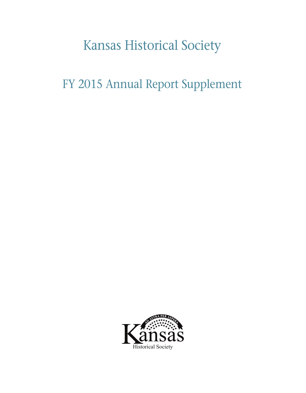FY 2015 Annual Report Supplement

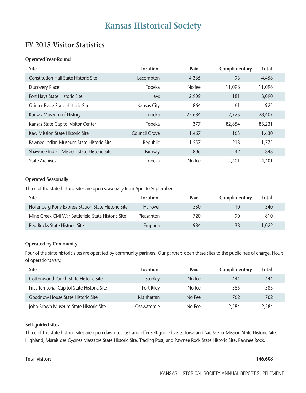#### **FY 2015 Visitor Statistics**

#### **Operated Year-Round**

| <b>Site</b>                                  | Location             | Paid   | Complimentary | <b>Total</b> |
|----------------------------------------------|----------------------|--------|---------------|--------------|
| <b>Constitution Hall State Historic Site</b> | Lecompton            | 4,365  | 93            | 4,458        |
| <b>Discovery Place</b>                       | Topeka               | No fee | 11,096        | 11,096       |
| Fort Hays State Historic Site                | <b>Hays</b>          | 2,909  | 181           | 3,090        |
| Grinter Place State Historic Site            | <b>Kansas City</b>   | 864    | 61            | 925          |
| Kansas Museum of History                     | Topeka               | 25,684 | 2,723         | 28,407       |
| Kansas State Capitol Visitor Center          | Topeka               | 377    | 82,854        | 83,231       |
| Kaw Mission State Historic Site              | <b>Council Grove</b> | 1,467  | 163           | 1,630        |
| Pawnee Indian Museum State Historic Site     | Republic             | 1,557  | 218           | 1,775        |
| Shawnee Indian Mission State Historic Site   | Fairway              | 806    | 42            | 848          |
| <b>State Archives</b>                        | Topeka               | No fee | 4,401         | 4,401        |

#### **Operated Seasonally**

Three of the state historic sites are open seasonally from April to September.

| Site                                                 | Location   | Paid | Complimentary | Total |
|------------------------------------------------------|------------|------|---------------|-------|
| Hollenberg Pony Express Station State Historic Site  | Hanover    | 530  | 10            | 540   |
| Mine Creek Civil War Battlefield State Historic Site | Pleasanton | 720  | 90            | 810   |
| Red Rocks State Historic Site                        | Emporia    | 984  | 38            | 1.022 |

#### **Operated by Community**

Four of the state historic sites are operated by community partners. Our partners open these sites to the public free of charge. Hours of operations vary.

| Site                                          | Location   | Paid   | Complimentary | Total |  |
|-----------------------------------------------|------------|--------|---------------|-------|--|
| Cottonwood Ranch State Historic Site          | Studley    | No fee | 444           | 444   |  |
| First Territorial Capitol State Historic Site | Fort Riley | No fee | 585           | 585   |  |
| Goodnow House State Historic Site             | Manhattan  | No Fee | 762           | 762   |  |
| John Brown Museum State Historic Site         | Osawatomie | No Fee | 2,584         | 2,584 |  |

#### **Self-guided sites**

Three of the state historic sites are open dawn to dusk and offer self-guided visits: Iowa and Sac & Fox Mission State Historic Site, Highland; Marais des Cygnes Massacre State Historic Site, Trading Post; and Pawnee Rock State Historic Site, Pawnee Rock.

#### **Total visitors 146,608**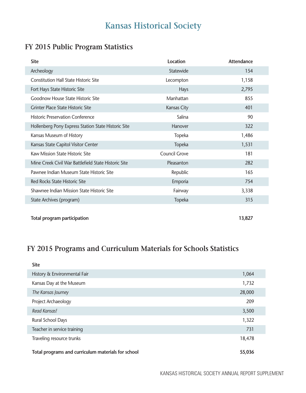### **FY 2015 Public Program Statistics**

| <b>Site</b>                                          | Location      | Attendance |
|------------------------------------------------------|---------------|------------|
| Archeology                                           | Statewide     | 154        |
| <b>Constitution Hall State Historic Site</b>         | Lecompton     | 1,158      |
| Fort Hays State Historic Site                        | <b>Hays</b>   | 2,795      |
| Goodnow House State Historic Site                    | Manhattan     | 855        |
| <b>Grinter Place State Historic Site</b>             | Kansas City   | 401        |
| <b>Historic Preservation Conference</b>              | Salina        | 90         |
| Hollenberg Pony Express Station State Historic Site  | Hanover       | 322        |
| Kansas Museum of History                             | Topeka        | 1,486      |
| Kansas State Capitol Visitor Center                  | Topeka        | 1,531      |
| Kaw Mission State Historic Site                      | Council Grove | 181        |
| Mine Creek Civil War Battlefield State Historic Site | Pleasanton    | 282        |
| Pawnee Indian Museum State Historic Site             | Republic      | 165        |
| Red Rocks State Historic Site                        | Emporia       | 754        |
| Shawnee Indian Mission State Historic Site           | Fairway       | 3,338      |
| State Archives (program)                             | Topeka        | 315        |
|                                                      |               |            |

**Total program participation 13,827**

### **FY 2015 Programs and Curriculum Materials for Schools Statistics**

| <b>Site</b>                                        |        |
|----------------------------------------------------|--------|
| History & Environmental Fair                       | 1,064  |
| Kansas Day at the Museum                           | 1,732  |
| The Kansas Journey                                 | 28,000 |
| Project Archaeology                                | 209    |
| Read Kansas!                                       | 3,500  |
| <b>Rural School Days</b>                           | 1,322  |
| Teacher in service training                        | 731    |
| Traveling resource trunks                          | 18,478 |
| Total programs and curriculum materials for school | 55,036 |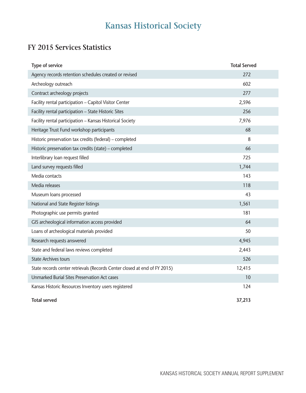### **FY 2015 Services Statistics**

| Type of service                                                           | <b>Total Served</b> |
|---------------------------------------------------------------------------|---------------------|
| Agency records retention schedules created or revised                     | 272                 |
| Archeology outreach                                                       | 602                 |
| Contract archeology projects                                              | 277                 |
| Facility rental participation - Capitol Visitor Center                    | 2,596               |
| Facility rental participation - State Historic Sites                      | 256                 |
| Facility rental participation - Kansas Historical Society                 | 7,976               |
| Heritage Trust Fund workshop participants                                 | 68                  |
| Historic preservation tax credits (federal) – completed                   | 8                   |
| Historic preservation tax credits (state) - completed                     | 66                  |
| Interlibrary loan request filled                                          | 725                 |
| Land survey requests filled                                               | 1,744               |
| Media contacts                                                            | 143                 |
| Media releases                                                            | 118                 |
| Museum loans processed                                                    | 43                  |
| National and State Register listings                                      | 1,561               |
| Photographic use permits granted                                          | 181                 |
| GIS archeological information access provided                             | 64                  |
| Loans of archeological materials provided                                 | 50                  |
| Research requests answered                                                | 4,945               |
| State and federal laws reviews completed                                  | 2,443               |
| <b>State Archives tours</b>                                               | 526                 |
| State records center retrievals (Records Center closed at end of FY 2015) | 12,415              |
| Unmarked Burial Sites Preservation Act cases                              | 10                  |
| Kansas Historic Resources Inventory users registered                      | 124                 |
| <b>Total served</b>                                                       | 37,213              |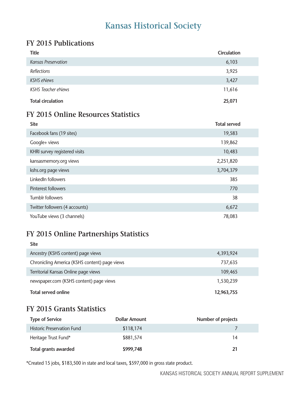### **FY 2015 Publications**

| <b>Title</b>               | <b>Circulation</b> |
|----------------------------|--------------------|
| <b>Kansas Preservation</b> | 6,103              |
| Reflections                | 3,925              |
| <b>KSHS eNews</b>          | 3,427              |
| <b>KSHS Teacher eNews</b>  | 11,616             |
| <b>Total circulation</b>   | 25,071             |

#### **FY 2015 Online Resources Statistics**

| <b>Site</b>                    | <b>Total served</b> |
|--------------------------------|---------------------|
| Facebook fans (19 sites)       | 19,583              |
| Google+ views                  | 139,862             |
| KHRI survey registered visits  | 10,483              |
| kansasmemory.org views         | 2,251,820           |
| kshs.org page views            | 3,704,379           |
| LinkedIn followers             | 385                 |
| <b>Pinterest followers</b>     | 770                 |
| <b>Tumblr followers</b>        | 38                  |
| Twitter followers (4 accounts) | 6,672               |
| YouTube views (3 channels)     | 78,083              |

## **FY 2015 Online Partnerships Statistics**

| <b>Site</b>                                   |            |
|-----------------------------------------------|------------|
| Ancestry (KSHS content) page views            | 4,393,924  |
| Chronicling America (KSHS content) page views | 737,635    |
| Territorial Kansas Online page views          | 109,465    |
| newspaper.com (KSHS content) page views       | 1,530,239  |
| <b>Total served online</b>                    | 12,963,755 |

#### **FY 2015 Grants Statistics**

| <b>Type of Service</b>            | <b>Dollar Amount</b> | Number of projects |
|-----------------------------------|----------------------|--------------------|
| <b>Historic Preservation Fund</b> | \$118,174            |                    |
| Heritage Trust Fund*              | \$881,574            | 14                 |
| Total grants awarded              | \$999,748            | 71                 |

\*Created 15 jobs, \$183,500 in state and local taxes, \$597,000 in gross state product.